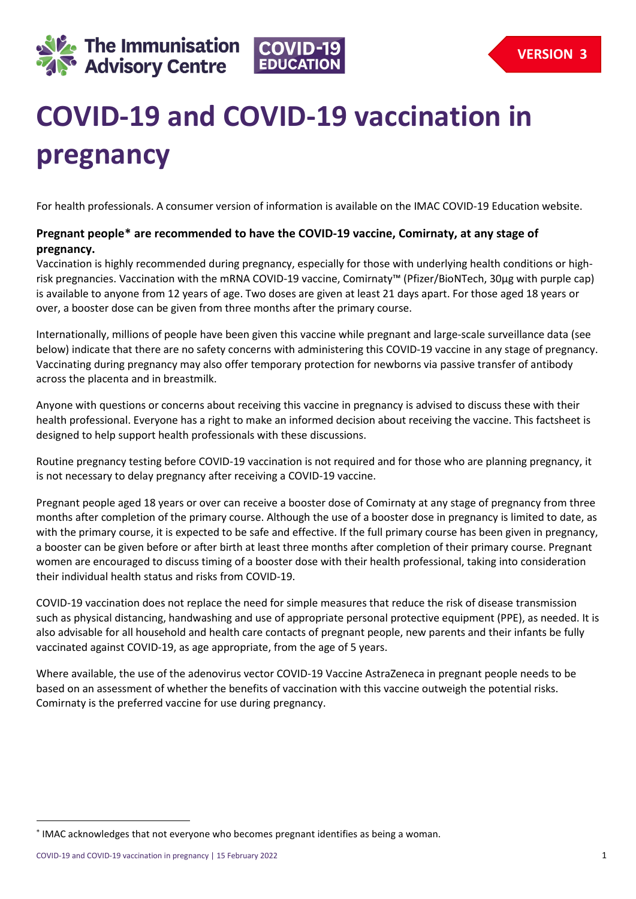



# **COVID-19 and COVID-19 vaccination in pregnancy**

For health professionals. A consumer version of information is available on the IMAC COVID-19 Education website.

# **Pregnant people[\\*](#page-0-0) are recommended to have the COVID-19 vaccine, Comirnaty, at any stage of pregnancy.**

Vaccination is highly recommended during pregnancy, especially for those with underlying health conditions or highrisk pregnancies. Vaccination with the mRNA COVID-19 vaccine, Comirnaty™ (Pfizer/BioNTech, 30µg with purple cap) is available to anyone from 12 years of age. Two doses are given at least 21 days apart. For those aged 18 years or over, a booster dose can be given from three months after the primary course.

Internationally, millions of people have been given this vaccine while pregnant and large-scale surveillance data (see below) indicate that there are no safety concerns with administering this COVID-19 vaccine in any stage of pregnancy. Vaccinating during pregnancy may also offer temporary protection for newborns via passive transfer of antibody across the placenta and in breastmilk.

Anyone with questions or concerns about receiving this vaccine in pregnancy is advised to discuss these with their health professional. Everyone has a right to make an informed decision about receiving the vaccine. This factsheet is designed to help support health professionals with these discussions.

Routine pregnancy testing before COVID-19 vaccination is not required and for those who are planning pregnancy, it is not necessary to delay pregnancy after receiving a COVID-19 vaccine.

Pregnant people aged 18 years or over can receive a booster dose of Comirnaty at any stage of pregnancy from three months after completion of the primary course. Although the use of a booster dose in pregnancy is limited to date, as with the primary course, it is expected to be safe and effective. If the full primary course has been given in pregnancy, a booster can be given before or after birth at least three months after completion of their primary course. Pregnant women are encouraged to discuss timing of a booster dose with their health professional, taking into consideration their individual health status and risks from COVID-19.

COVID-19 vaccination does not replace the need for simple measures that reduce the risk of disease transmission such as physical distancing, handwashing and use of appropriate personal protective equipment (PPE), as needed. It is also advisable for all household and health care contacts of pregnant people, new parents and their infants be fully vaccinated against COVID-19, as age appropriate, from the age of 5 years.

Where available, the use of the adenovirus vector COVID-19 Vaccine AstraZeneca in pregnant people needs to be based on an assessment of whether the benefits of vaccination with this vaccine outweigh the potential risks. Comirnaty is the preferred vaccine for use during pregnancy.

<span id="page-0-0"></span><sup>∗</sup> IMAC acknowledges that not everyone who becomes pregnant identifies as being a woman.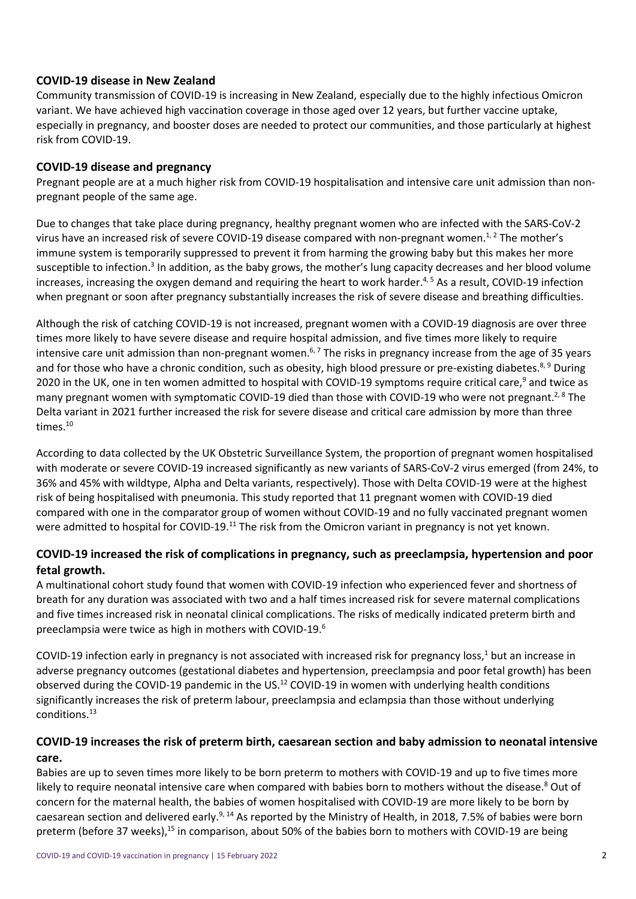#### **COVID-19 disease in New Zealand**

Community transmission of COVID-19 is increasing in New Zealand, especially due to the highly infectious Omicron variant. We have achieved high vaccination coverage in those aged over 12 years, but further vaccine uptake, especially in pregnancy, and booster doses are needed to protect our communities, and those particularly at highest risk from COVID-19.

#### **COVID-19 disease and pregnancy**

Pregnant people are at a much higher risk from COVID-19 hospitalisation and intensive care unit admission than nonpregnant people of the same age.

Due to changes that take place during pregnancy, healthy pregnant women who are infected with the SARS-CoV-2 virus have an increased risk of severe COVID-19 disease compared with non-pregnant women.<sup>1,2</sup> The mother's immune system is temporarily suppressed to prevent it from harming the growing baby but this makes her more susceptible to infection.<sup>3</sup> In addition, as the baby grows, the mother's lung capacity decreases and her blood volume increases, increasing the oxygen demand and requiring the heart to work harder.<sup>4, 5</sup> As a result, COVID-19 infection when pregnant or soon after pregnancy substantially increases the risk of severe disease and breathing difficulties.

Although the risk of catching COVID-19 is not increased, pregnant women with a COVID-19 diagnosis are over three times more likely to have severe disease and require hospital admission, and five times more likely to require intensive care unit admission than non-pregnant women.<sup>6,7</sup> The risks in pregnancy increase from the age of 35 years and for those who have a chronic condition, such as obesity, high blood pressure or pre-existing diabetes.<sup>8, 9</sup> During 2020 in the UK, one in ten women admitted to hospital with COVID-19 symptoms require critical care,<sup>9</sup> and twice as many pregnant women with symptomatic COVID-19 died than those with COVID-19 who were not pregnant.<sup>2, 8</sup> The Delta variant in 2021 further increased the risk for severe disease and critical care admission by more than three times.<sup>10</sup>

According to data collected by the UK Obstetric Surveillance System, the proportion of pregnant women hospitalised with moderate or severe COVID-19 increased significantly as new variants of SARS-CoV-2 virus emerged (from 24%, to 36% and 45% with wildtype, Alpha and Delta variants, respectively). Those with Delta COVID-19 were at the highest risk of being hospitalised with pneumonia. This study reported that 11 pregnant women with COVID-19 died compared with one in the comparator group of women without COVID-19 and no fully vaccinated pregnant women were admitted to hospital for COVID-19.<sup>11</sup> The risk from the Omicron variant in pregnancy is not yet known.

## **COVID-19 increased the risk of complications in pregnancy, such as preeclampsia, hypertension and poor fetal growth.**

A multinational cohort study found that women with COVID-19 infection who experienced fever and shortness of breath for any duration was associated with two and a half times increased risk for severe maternal complications and five times increased risk in neonatal clinical complications. The risks of medically indicated preterm birth and preeclampsia were twice as high in mothers with COVID-19.6

COVID-19 infection early in pregnancy is not associated with increased risk for pregnancy loss, $1$  but an increase in adverse pregnancy outcomes (gestational diabetes and hypertension, preeclampsia and poor fetal growth) has been observed during the COVID-19 pandemic in the US.<sup>12</sup> COVID-19 in women with underlying health conditions significantly increases the risk of preterm labour, preeclampsia and eclampsia than those without underlying conditions.13

# **COVID-19 increases the risk of preterm birth, caesarean section and baby admission to neonatal intensive care.**

Babies are up to seven times more likely to be born preterm to mothers with COVID-19 and up to five times more likely to require neonatal intensive care when compared with babies born to mothers without the disease.<sup>8</sup> Out of concern for the maternal health, the babies of women hospitalised with COVID-19 are more likely to be born by caesarean section and delivered early.<sup>9, 14</sup> As reported by the Ministry of Health, in 2018, 7.5% of babies were born preterm (before 37 weeks),<sup>15</sup> in comparison, about 50% of the babies born to mothers with COVID-19 are being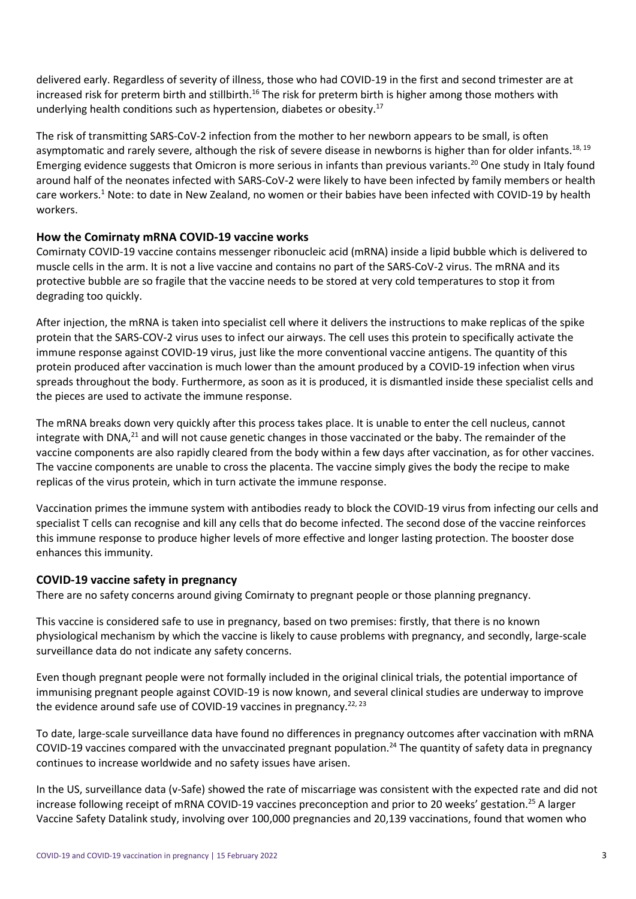delivered early. Regardless of severity of illness, those who had COVID-19 in the first and second trimester are at increased risk for preterm birth and stillbirth.<sup>16</sup> The risk for preterm birth is higher among those mothers with underlying health conditions such as hypertension, diabetes or obesity.<sup>17</sup>

The risk of transmitting SARS-CoV-2 infection from the mother to her newborn appears to be small, is often asymptomatic and rarely severe, although the risk of severe disease in newborns is higher than for older infants.<sup>18, 19</sup> Emerging evidence suggests that Omicron is more serious in infants than previous variants.<sup>20</sup> One study in Italy found around half of the neonates infected with SARS-CoV-2 were likely to have been infected by family members or health care workers.1 Note: to date in New Zealand, no women or their babies have been infected with COVID-19 by health workers.

## **How the Comirnaty mRNA COVID-19 vaccine works**

Comirnaty COVID-19 vaccine contains messenger ribonucleic acid (mRNA) inside a lipid bubble which is delivered to muscle cells in the arm. It is not a live vaccine and contains no part of the SARS-CoV-2 virus. The mRNA and its protective bubble are so fragile that the vaccine needs to be stored at very cold temperatures to stop it from degrading too quickly.

After injection, the mRNA is taken into specialist cell where it delivers the instructions to make replicas of the spike protein that the SARS-COV-2 virus uses to infect our airways. The cell uses this protein to specifically activate the immune response against COVID-19 virus, just like the more conventional vaccine antigens. The quantity of this protein produced after vaccination is much lower than the amount produced by a COVID-19 infection when virus spreads throughout the body. Furthermore, as soon as it is produced, it is dismantled inside these specialist cells and the pieces are used to activate the immune response.

The mRNA breaks down very quickly after this process takes place. It is unable to enter the cell nucleus, cannot integrate with DNA,<sup>21</sup> and will not cause genetic changes in those vaccinated or the baby. The remainder of the vaccine components are also rapidly cleared from the body within a few days after vaccination, as for other vaccines. The vaccine components are unable to cross the placenta. The vaccine simply gives the body the recipe to make replicas of the virus protein, which in turn activate the immune response.

Vaccination primes the immune system with antibodies ready to block the COVID-19 virus from infecting our cells and specialist T cells can recognise and kill any cells that do become infected. The second dose of the vaccine reinforces this immune response to produce higher levels of more effective and longer lasting protection. The booster dose enhances this immunity.

#### **COVID-19 vaccine safety in pregnancy**

There are no safety concerns around giving Comirnaty to pregnant people or those planning pregnancy.

This vaccine is considered safe to use in pregnancy, based on two premises: firstly, that there is no known physiological mechanism by which the vaccine is likely to cause problems with pregnancy, and secondly, large-scale surveillance data do not indicate any safety concerns.

Even though pregnant people were not formally included in the original clinical trials, the potential importance of immunising pregnant people against COVID-19 is now known, and several clinical studies are underway to improve the evidence around safe use of COVID-19 vaccines in pregnancy.<sup>22, 23</sup>

To date, large-scale surveillance data have found no differences in pregnancy outcomes after vaccination with mRNA COVID-19 vaccines compared with the unvaccinated pregnant population.<sup>24</sup> The quantity of safety data in pregnancy continues to increase worldwide and no safety issues have arisen.

In the US, surveillance data (v-Safe) showed the rate of miscarriage was consistent with the expected rate and did not increase following receipt of mRNA COVID-19 vaccines preconception and prior to 20 weeks' gestation.<sup>25</sup> A larger Vaccine Safety Datalink study, involving over 100,000 pregnancies and 20,139 vaccinations, found that women who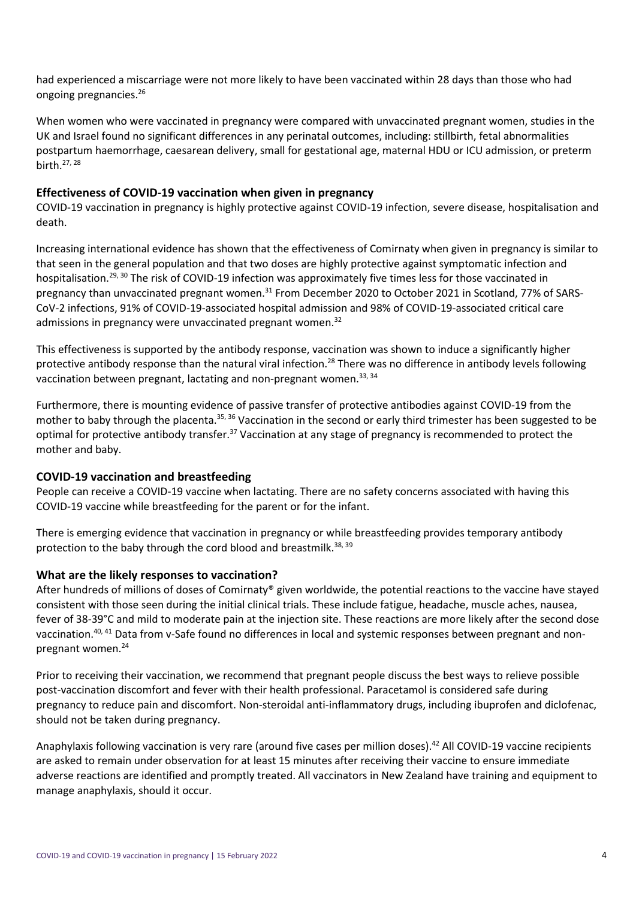had experienced a miscarriage were not more likely to have been vaccinated within 28 days than those who had ongoing pregnancies.26

When women who were vaccinated in pregnancy were compared with unvaccinated pregnant women, studies in the UK and Israel found no significant differences in any perinatal outcomes, including: stillbirth, fetal abnormalities postpartum haemorrhage, caesarean delivery, small for gestational age, maternal HDU or ICU admission, or preterm birth.27, 28

## **Effectiveness of COVID-19 vaccination when given in pregnancy**

COVID-19 vaccination in pregnancy is highly protective against COVID-19 infection, severe disease, hospitalisation and death.

Increasing international evidence has shown that the effectiveness of Comirnaty when given in pregnancy is similar to that seen in the general population and that two doses are highly protective against symptomatic infection and hospitalisation.29, <sup>30</sup> The risk of COVID-19 infection was approximately five times less for those vaccinated in pregnancy than unvaccinated pregnant women.<sup>31</sup> From December 2020 to October 2021 in Scotland, 77% of SARS-CoV-2 infections, 91% of COVID-19-associated hospital admission and 98% of COVID-19-associated critical care admissions in pregnancy were unvaccinated pregnant women.<sup>32</sup>

This effectiveness is supported by the antibody response, vaccination was shown to induce a significantly higher protective antibody response than the natural viral infection.<sup>28</sup> There was no difference in antibody levels following vaccination between pregnant, lactating and non-pregnant women.<sup>33, 34</sup>

Furthermore, there is mounting evidence of passive transfer of protective antibodies against COVID-19 from the mother to baby through the placenta.<sup>35, 36</sup> Vaccination in the second or early third trimester has been suggested to be optimal for protective antibody transfer.<sup>37</sup> Vaccination at any stage of pregnancy is recommended to protect the mother and baby.

# **COVID-19 vaccination and breastfeeding**

People can receive a COVID-19 vaccine when lactating. There are no safety concerns associated with having this COVID-19 vaccine while breastfeeding for the parent or for the infant.

There is emerging evidence that vaccination in pregnancy or while breastfeeding provides temporary antibody protection to the baby through the cord blood and breastmilk.<sup>38, 39</sup>

# **What are the likely responses to vaccination?**

After hundreds of millions of doses of Comirnaty® given worldwide, the potential reactions to the vaccine have stayed consistent with those seen during the initial clinical trials. These include fatigue, headache, muscle aches, nausea, fever of 38-39°C and mild to moderate pain at the injection site. These reactions are more likely after the second dose vaccination.<sup>40, 41</sup> Data from v-Safe found no differences in local and systemic responses between pregnant and nonpregnant women.24

Prior to receiving their vaccination, we recommend that pregnant people discuss the best ways to relieve possible post-vaccination discomfort and fever with their health professional. Paracetamol is considered safe during pregnancy to reduce pain and discomfort. Non-steroidal anti-inflammatory drugs, including ibuprofen and diclofenac, should not be taken during pregnancy.

Anaphylaxis following vaccination is very rare (around five cases per million doses).<sup>42</sup> All COVID-19 vaccine recipients are asked to remain under observation for at least 15 minutes after receiving their vaccine to ensure immediate adverse reactions are identified and promptly treated. All vaccinators in New Zealand have training and equipment to manage anaphylaxis, should it occur.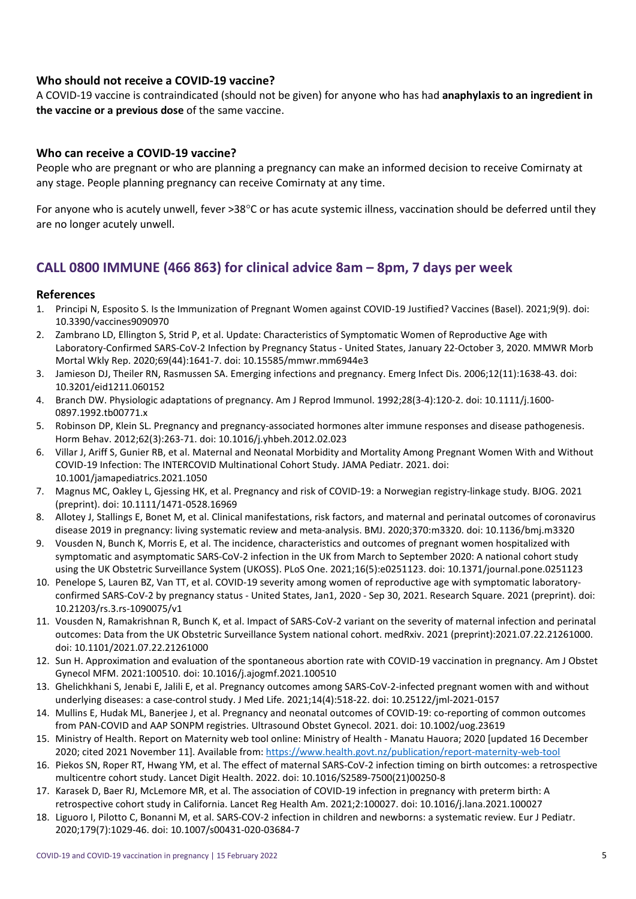#### **Who should not receive a COVID-19 vaccine?**

A COVID-19 vaccine is contraindicated (should not be given) for anyone who has had **anaphylaxis to an ingredient in the vaccine or a previous dose** of the same vaccine.

#### **Who can receive a COVID-19 vaccine?**

People who are pregnant or who are planning a pregnancy can make an informed decision to receive Comirnaty at any stage. People planning pregnancy can receive Comirnaty at any time.

For anyone who is acutely unwell, fever >38°C or has acute systemic illness, vaccination should be deferred until they are no longer acutely unwell.

# **CALL 0800 IMMUNE (466 863) for clinical advice 8am – 8pm, 7 days per week**

#### **References**

- 1. Principi N, Esposito S. Is the Immunization of Pregnant Women against COVID-19 Justified? Vaccines (Basel). 2021;9(9). doi: 10.3390/vaccines9090970
- 2. Zambrano LD, Ellington S, Strid P, et al. Update: Characteristics of Symptomatic Women of Reproductive Age with Laboratory-Confirmed SARS-CoV-2 Infection by Pregnancy Status - United States, January 22-October 3, 2020. MMWR Morb Mortal Wkly Rep. 2020;69(44):1641-7. doi: 10.15585/mmwr.mm6944e3
- 3. Jamieson DJ, Theiler RN, Rasmussen SA. Emerging infections and pregnancy. Emerg Infect Dis. 2006;12(11):1638-43. doi: 10.3201/eid1211.060152
- 4. Branch DW. Physiologic adaptations of pregnancy. Am J Reprod Immunol. 1992;28(3-4):120-2. doi: 10.1111/j.1600- 0897.1992.tb00771.x
- 5. Robinson DP, Klein SL. Pregnancy and pregnancy-associated hormones alter immune responses and disease pathogenesis. Horm Behav. 2012;62(3):263-71. doi: 10.1016/j.yhbeh.2012.02.023
- 6. Villar J, Ariff S, Gunier RB, et al. Maternal and Neonatal Morbidity and Mortality Among Pregnant Women With and Without COVID-19 Infection: The INTERCOVID Multinational Cohort Study. JAMA Pediatr. 2021. doi: 10.1001/jamapediatrics.2021.1050
- 7. Magnus MC, Oakley L, Gjessing HK, et al. Pregnancy and risk of COVID-19: a Norwegian registry-linkage study. BJOG. 2021 (preprint). doi: 10.1111/1471-0528.16969
- 8. Allotey J, Stallings E, Bonet M, et al. Clinical manifestations, risk factors, and maternal and perinatal outcomes of coronavirus disease 2019 in pregnancy: living systematic review and meta-analysis. BMJ. 2020;370:m3320. doi: 10.1136/bmj.m3320
- 9. Vousden N, Bunch K, Morris E, et al. The incidence, characteristics and outcomes of pregnant women hospitalized with symptomatic and asymptomatic SARS-CoV-2 infection in the UK from March to September 2020: A national cohort study using the UK Obstetric Surveillance System (UKOSS). PLoS One. 2021;16(5):e0251123. doi: 10.1371/journal.pone.0251123
- 10. Penelope S, Lauren BZ, Van TT, et al. COVID-19 severity among women of reproductive age with symptomatic laboratoryconfirmed SARS-CoV-2 by pregnancy status - United States, Jan1, 2020 - Sep 30, 2021. Research Square. 2021 (preprint). doi: 10.21203/rs.3.rs-1090075/v1
- 11. Vousden N, Ramakrishnan R, Bunch K, et al. Impact of SARS-CoV-2 variant on the severity of maternal infection and perinatal outcomes: Data from the UK Obstetric Surveillance System national cohort. medRxiv. 2021 (preprint):2021.07.22.21261000. doi: 10.1101/2021.07.22.21261000
- 12. Sun H. Approximation and evaluation of the spontaneous abortion rate with COVID-19 vaccination in pregnancy. Am J Obstet Gynecol MFM. 2021:100510. doi: 10.1016/j.ajogmf.2021.100510
- 13. Ghelichkhani S, Jenabi E, Jalili E, et al. Pregnancy outcomes among SARS-CoV-2-infected pregnant women with and without underlying diseases: a case-control study. J Med Life. 2021;14(4):518-22. doi: 10.25122/jml-2021-0157
- 14. Mullins E, Hudak ML, Banerjee J, et al. Pregnancy and neonatal outcomes of COVID-19: co-reporting of common outcomes from PAN-COVID and AAP SONPM registries. Ultrasound Obstet Gynecol. 2021. doi: 10.1002/uog.23619
- 15. Ministry of Health. Report on Maternity web tool online: Ministry of Health Manatu Hauora; 2020 [updated 16 December 2020; cited 2021 November 11]. Available from:<https://www.health.govt.nz/publication/report-maternity-web-tool>
- 16. Piekos SN, Roper RT, Hwang YM, et al. The effect of maternal SARS-CoV-2 infection timing on birth outcomes: a retrospective multicentre cohort study. Lancet Digit Health. 2022. doi: 10.1016/S2589-7500(21)00250-8
- 17. Karasek D, Baer RJ, McLemore MR, et al. The association of COVID-19 infection in pregnancy with preterm birth: A retrospective cohort study in California. Lancet Reg Health Am. 2021;2:100027. doi: 10.1016/j.lana.2021.100027
- 18. Liguoro I, Pilotto C, Bonanni M, et al. SARS-COV-2 infection in children and newborns: a systematic review. Eur J Pediatr. 2020;179(7):1029-46. doi: 10.1007/s00431-020-03684-7